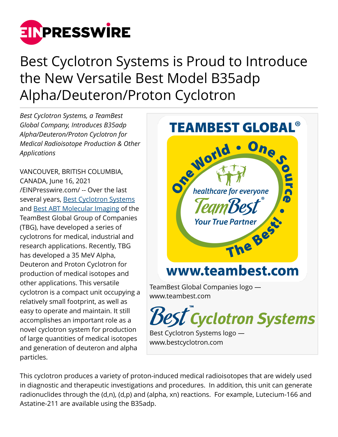

Best Cyclotron Systems is Proud to Introduce the New Versatile Best Model B35adp Alpha/Deuteron/Proton Cyclotron

*Best Cyclotron Systems, a TeamBest Global Company, Introduces B35adp Alpha/Deuteron/Proton Cyclotron for Medical Radioisotope Production & Other Applications*

VANCOUVER, BRITISH COLUMBIA, CANADA, June 16, 2021 [/EINPresswire.com/](http://www.einpresswire.com) -- Over the last several years, **[Best Cyclotron Systems](http://www.bestcyclotron.com)** and [Best ABT Molecular Imaging](http://www.bestabt.com) of the TeamBest Global Group of Companies (TBG), have developed a series of cyclotrons for medical, industrial and research applications. Recently, TBG has developed a 35 MeV Alpha, Deuteron and Proton Cyclotron for production of medical isotopes and other applications. This versatile cyclotron is a compact unit occupying a relatively small footprint, as well as easy to operate and maintain. It still accomplishes an important role as a novel cyclotron system for production of large quantities of medical isotopes and generation of deuteron and alpha particles.



This cyclotron produces a variety of proton-induced medical radioisotopes that are widely used in diagnostic and therapeutic investigations and procedures. In addition, this unit can generate radionuclides through the (d,n), (d,p) and (alpha, xn) reactions. For example, Lutecium-166 and Astatine-211 are available using the B35adp.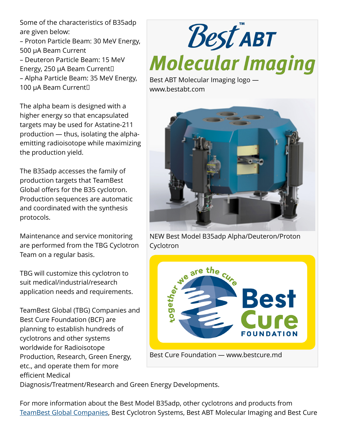Some of the characteristics of B35adp are given below:

– Proton Particle Beam: 30 MeV Energy, 500 µA Beam Current – Deuteron Particle Beam: 15 MeV Energy, 250 µA Beam Current – Alpha Particle Beam: 35 MeV Energy, 100 µA Beam Current<sup>[]</sup>

The alpha beam is designed with a higher energy so that encapsulated targets may be used for Astatine-211 production — thus, isolating the alphaemitting radioisotope while maximizing the production yield.

The B35adp accesses the family of production targets that TeamBest Global offers for the B35 cyclotron. Production sequences are automatic and coordinated with the synthesis protocols.

Maintenance and service monitoring are performed from the TBG Cyclotron Team on a regular basis.

TBG will customize this cyclotron to suit medical/industrial/research application needs and requirements.

TeamBest Global (TBG) Companies and Best Cure Foundation (BCF) are planning to establish hundreds of cyclotrons and other systems worldwide for Radioisotope Production, Research, Green Energy, etc., and operate them for more efficient Medical

## Best ABT **Molecular Imaging**

Best ABT Molecular Imaging logo www.bestabt.com



NEW Best Model B35adp Alpha/Deuteron/Proton Cyclotron



Diagnosis/Treatment/Research and Green Energy Developments.

For more information about the Best Model B35adp, other cyclotrons and products from [TeamBest Global Companies,](http://www.teambest.com) Best Cyclotron Systems, Best ABT Molecular Imaging and Best Cure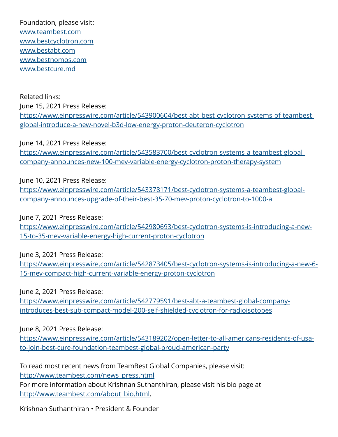Foundation, please visit: [www.teambest.com](http://www.teambest.com) [www.bestcyclotron.com](http://www.bestcyclotron.com) [www.bestabt.com](http://www.bestabt.com) [www.bestnomos.com](http://www.bestnomos.com) [www.bestcure.md](http://www.bestcure.md)

Related links: June 15, 2021 Press Release: [https://www.einpresswire.com/article/543900604/best-abt-best-cyclotron-systems-of-teambest](https://www.einpresswire.com/article/543900604/best-abt-best-cyclotron-systems-of-teambest-global-introduce-a-new-novel-b3d-low-energy-proton-deuteron-cyclotron)[global-introduce-a-new-novel-b3d-low-energy-proton-deuteron-cyclotron](https://www.einpresswire.com/article/543900604/best-abt-best-cyclotron-systems-of-teambest-global-introduce-a-new-novel-b3d-low-energy-proton-deuteron-cyclotron)

June 14, 2021 Press Release: [https://www.einpresswire.com/article/543583700/best-cyclotron-systems-a-teambest-global](https://www.einpresswire.com/article/543583700/best-cyclotron-systems-a-teambest-global-company-announces-new-100-mev-variable-energy-cyclotron-proton-therapy-system)[company-announces-new-100-mev-variable-energy-cyclotron-proton-therapy-system](https://www.einpresswire.com/article/543583700/best-cyclotron-systems-a-teambest-global-company-announces-new-100-mev-variable-energy-cyclotron-proton-therapy-system)

June 10, 2021 Press Release:

[https://www.einpresswire.com/article/543378171/best-cyclotron-systems-a-teambest-global](https://www.einpresswire.com/article/543378171/best-cyclotron-systems-a-teambest-global-company-announces-upgrade-of-their-best-35-70-mev-proton-cyclotron-to-1000-a)[company-announces-upgrade-of-their-best-35-70-mev-proton-cyclotron-to-1000-a](https://www.einpresswire.com/article/543378171/best-cyclotron-systems-a-teambest-global-company-announces-upgrade-of-their-best-35-70-mev-proton-cyclotron-to-1000-a)

June 7, 2021 Press Release:

[https://www.einpresswire.com/article/542980693/best-cyclotron-systems-is-introducing-a-new-](https://www.einpresswire.com/article/542980693/best-cyclotron-systems-is-introducing-a-new-15-to-35-mev-variable-energy-high-current-proton-cyclotron)[15-to-35-mev-variable-energy-high-current-proton-cyclotron](https://www.einpresswire.com/article/542980693/best-cyclotron-systems-is-introducing-a-new-15-to-35-mev-variable-energy-high-current-proton-cyclotron)

June 3, 2021 Press Release:

[https://www.einpresswire.com/article/542873405/best-cyclotron-systems-is-introducing-a-new-6-](https://www.einpresswire.com/article/542873405/best-cyclotron-systems-is-introducing-a-new-6-15-mev-compact-high-current-variable-energy-proton-cyclotron) [15-mev-compact-high-current-variable-energy-proton-cyclotron](https://www.einpresswire.com/article/542873405/best-cyclotron-systems-is-introducing-a-new-6-15-mev-compact-high-current-variable-energy-proton-cyclotron)

June 2, 2021 Press Release:

[https://www.einpresswire.com/article/542779591/best-abt-a-teambest-global-company](https://www.einpresswire.com/article/542779591/best-abt-a-teambest-global-company-introduces-best-sub-compact-model-200-self-shielded-cyclotron-for-radioisotopes)[introduces-best-sub-compact-model-200-self-shielded-cyclotron-for-radioisotopes](https://www.einpresswire.com/article/542779591/best-abt-a-teambest-global-company-introduces-best-sub-compact-model-200-self-shielded-cyclotron-for-radioisotopes)

June 8, 2021 Press Release:

[https://www.einpresswire.com/article/543189202/open-letter-to-all-americans-residents-of-usa](https://www.einpresswire.com/article/543189202/open-letter-to-all-americans-residents-of-usa-to-join-best-cure-foundation-teambest-global-proud-american-party)[to-join-best-cure-foundation-teambest-global-proud-american-party](https://www.einpresswire.com/article/543189202/open-letter-to-all-americans-residents-of-usa-to-join-best-cure-foundation-teambest-global-proud-american-party)

To read most recent news from TeamBest Global Companies, please visit: [http://www.teambest.com/news\\_press.html](http://www.teambest.com/news_press.html) For more information about Krishnan Suthanthiran, please visit his bio page at [http://www.teambest.com/about\\_bio.html](http://www.teambest.com/about_bio.html).

Krishnan Suthanthiran • President & Founder